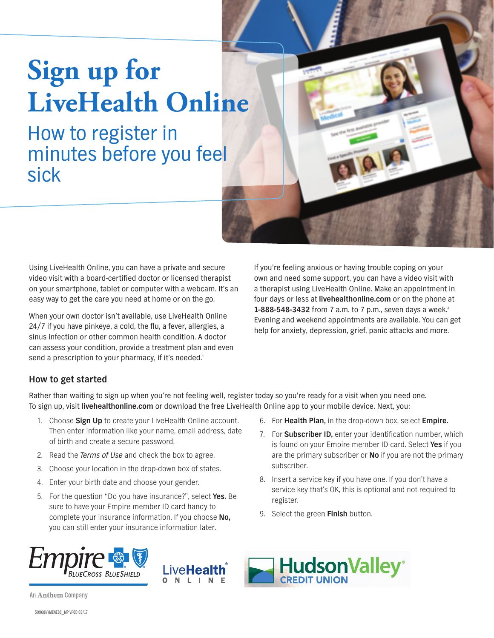# **Sign up for LiveHealth Online**

# How to register in minutes before you feel sick



Using LiveHealth Online, you can have a private and secure video visit with a board-certified doctor or licensed therapist on your smartphone, tablet or computer with a webcam. It's an easy way to get the care you need at home or on the go.

When your own doctor isn't available, use LiveHealth Online 24/7 if you have pinkeye, a cold, the flu, a fever, allergies, a sinus infection or other common health condition. A doctor can assess your condition, provide a treatment plan and even send a prescription to your pharmacy, if it's needed.<sup>1</sup>

If you're feeling anxious or having trouble coping on your own and need some support, you can have a video visit with a therapist using LiveHealth Online. Make an appointment in four days or less at **livehealthonline.com** or on the phone at 1-888-548-3432 from 7 a.m. to 7 p.m., seven days a week.<sup>2</sup> Evening and weekend appointments are available. You can get help for anxiety, depression, grief, panic attacks and more.

## **How to get started**

Rather than waiting to sign up when you're not feeling well, register today so you're ready for a visit when you need one. To sign up, visit **livehealthonline.com** or download the free LiveHealth Online app to your mobile device. Next, you:

- 1. Choose **Sign Up** to create your LiveHealth Online account. Then enter information like your name, email address, date of birth and create a secure password.
- 2. Read the *Terms of Use* and check the box to agree.
- 3. Choose your location in the drop-down box of states.
- 4. Enter your birth date and choose your gender.
- 5. For the question "Do you have insurance?", select **Yes.** Be sure to have your Empire member ID card handy to complete your insurance information. If you choose **No,** you can still enter your insurance information later.
- 6. For **Health Plan,** in the drop-down box, select **Empire.**
- 7. For **Subscriber ID,** enter your identification number, which is found on your Empire member ID card. Select **Yes** if you are the primary subscriber or **No** if you are not the primary subscriber.
- 8. Insert a service key if you have one. If you don't have a service key that's OK, this is optional and not required to register.
- 9. Select the green **Finish** button.







An Anthem Company